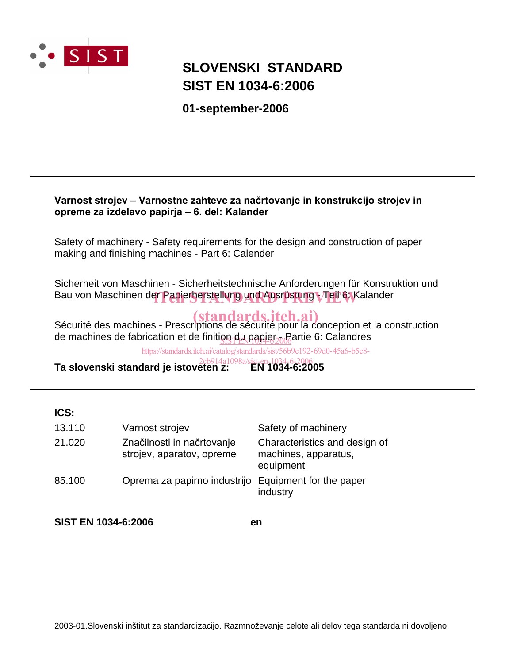

# **SIST EN 1034-6:2006 SLOVENSKI STANDARD**

**01-september-2006**

### Varnost strojev – Varnostne zahteve za načrtovanje in konstrukcijo strojev in opreme za izdelavo papirja - 6. del: Kalander

Safety of machinery - Safety requirements for the design and construction of paper making and finishing machines - Part 6: Calender

Sicherheit von Maschinen - Sicherheitstechnische Anforderungen für Konstruktion und Bau von Maschinen de<mark>r Papierherstellung und Ausrüstung Meil 6. K</mark>alander

Sécurité des machines - Prescriptions de sécurité pour la conception et la construction de machines de fabrication et de finiti<u>on du papier <sub>200</sub>6</u> artie 6: Calandres

https://standards.iteh.ai/catalog/standards/sist/56b9e192-69d0-45a6-b5e8-

**Ta slovenski standard je istoveten z: EN 1034-6:2005** 2cb914a1098a/sist-en-1034-6-2006

## **ICS:**

| 13.110 | Varnost strojev                                         | Safety of machinery                                                |
|--------|---------------------------------------------------------|--------------------------------------------------------------------|
| 21.020 | Značilnosti in načrtovanje<br>strojev, aparatov, opreme | Characteristics and design of<br>machines, apparatus,<br>equipment |
| 85.100 | Oprema za papirno industrijo Equipment for the paper    | industry                                                           |

**SIST EN 1034-6:2006 en**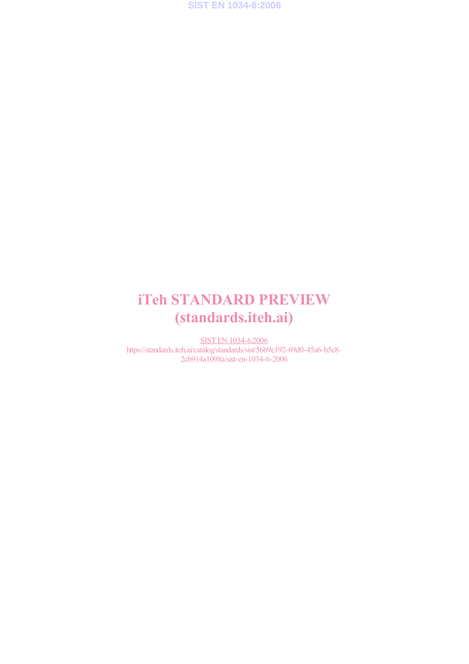**SIST EN 1034-6:2006**

# iTeh STANDARD PREVIEW (standards.iteh.ai)

SIST EN 1034-6:2006 https://standards.iteh.ai/catalog/standards/sist/56b9e192-69d0-45a6-b5e8- 2cb914a1098a/sist-en-1034-6-2006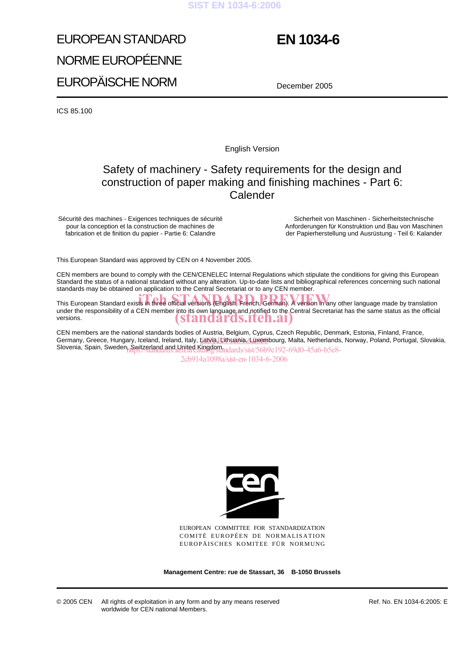#### **SIST EN 1034-6:2006**

# EUROPEAN STANDARD NORME EUROPÉENNE EUROPÄISCHE NORM

# **EN 1034-6**

December 2005

ICS 85.100

English Version

## Safety of machinery - Safety requirements for the design and construction of paper making and finishing machines - Part 6: Calender

Sécurité des machines - Exigences techniques de sécurité pour la conception et la construction de machines de fabrication et de finition du papier - Partie 6: Calandre

Sicherheit von Maschinen - Sicherheitstechnische Anforderungen für Konstruktion und Bau von Maschinen der Papierherstellung und Ausrüstung - Teil 6: Kalander

This European Standard was approved by CEN on 4 November 2005.

CEN members are bound to comply with the CEN/CENELEC Internal Regulations which stipulate the conditions for giving this European Standard the status of a national standard without any alteration. Up-to-date lists and bibliographical references concerning such national standards may be obtained on application to the Central Secretariat or to any CEN member.

This European Standard exists in three official versions (English, French, German). A version in any other language made by translation under the responsibility of a CEN member into its own language and notified to the Central Secretariat has the same status as the official versions. (standards.iteh.ai)

CEN members are the national standards bodies of Austria, Belgium, Cyprus, Czech Republic, Denmark, Estonia, Finland, France, Germany, Greece, Hungary, Iceland, Ireland, Italy, <u>Eatvia, Lithuania, (Luxem</u>bourg, Malta, Netherlands, Norway, Poland, Portugal, Slovakia, Slovenia, Spain, Sweden, Switzerland and United Kingdom.<br>https://sist/56b9e192-69d0-45a6-b5e8-

2cb914a1098a/sist-en-1034-6-2006



EUROPEAN COMMITTEE FOR STANDARDIZATION COMITÉ EUROPÉEN DE NORMALISATION EUROPÄISCHES KOMITEE FÜR NORMUNG

**Management Centre: rue de Stassart, 36 B-1050 Brussels**

Ref. No. EN 1034-6:2005: E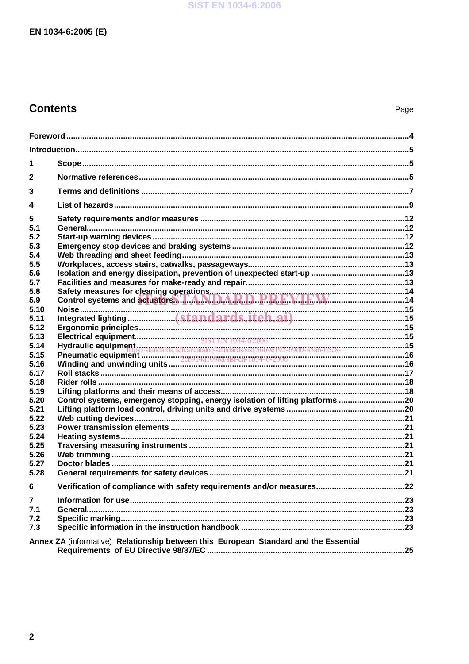# **Contents**

| 1              |                                                                                      |  |  |  |
|----------------|--------------------------------------------------------------------------------------|--|--|--|
| $\mathbf{2}$   |                                                                                      |  |  |  |
| 3              |                                                                                      |  |  |  |
| 4              |                                                                                      |  |  |  |
| 5<br>5.1       |                                                                                      |  |  |  |
| 5.2            |                                                                                      |  |  |  |
| 5.3            |                                                                                      |  |  |  |
| 5.4<br>5.5     |                                                                                      |  |  |  |
| 5.6            |                                                                                      |  |  |  |
| 5.7            |                                                                                      |  |  |  |
| 5.8<br>5.9     |                                                                                      |  |  |  |
| 5.10           |                                                                                      |  |  |  |
| 5.11           |                                                                                      |  |  |  |
| 5.12           |                                                                                      |  |  |  |
| 5.13<br>5.14   |                                                                                      |  |  |  |
| 5.15           |                                                                                      |  |  |  |
| 5.16           |                                                                                      |  |  |  |
| 5.17           |                                                                                      |  |  |  |
| 5.18<br>5.19   |                                                                                      |  |  |  |
| 5.20           | Control systems, emergency stopping, energy isolation of lifting platforms 20        |  |  |  |
| 5.21           |                                                                                      |  |  |  |
| 5.22           |                                                                                      |  |  |  |
| 5.23<br>5.24   |                                                                                      |  |  |  |
| 5.25           |                                                                                      |  |  |  |
| 5.26           |                                                                                      |  |  |  |
| 5.27           |                                                                                      |  |  |  |
| 5.28           |                                                                                      |  |  |  |
| 6              |                                                                                      |  |  |  |
| $\overline{7}$ |                                                                                      |  |  |  |
| 7.1<br>7.2     |                                                                                      |  |  |  |
| 7.3            |                                                                                      |  |  |  |
|                | Annex ZA (informative) Relationship between this European Standard and the Essential |  |  |  |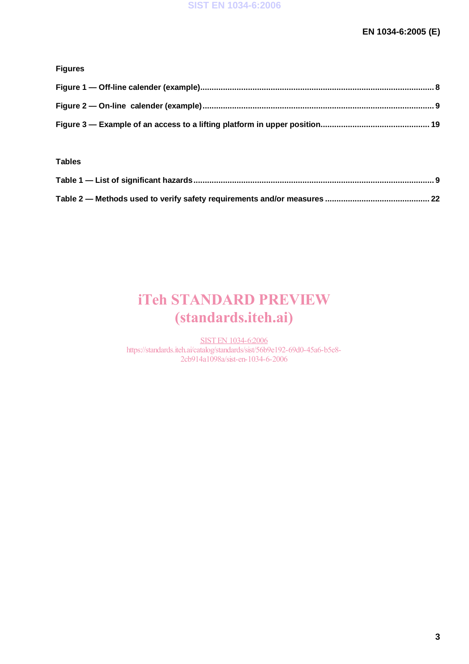### **Figures**

#### **Tables**

# iTeh STANDARD PREVIEW (standards.iteh.ai)

SIST EN 1034-6:2006 https://standards.iteh.ai/catalog/standards/sist/56b9e192-69d0-45a6-b5e8- 2cb914a1098a/sist-en-1034-6-2006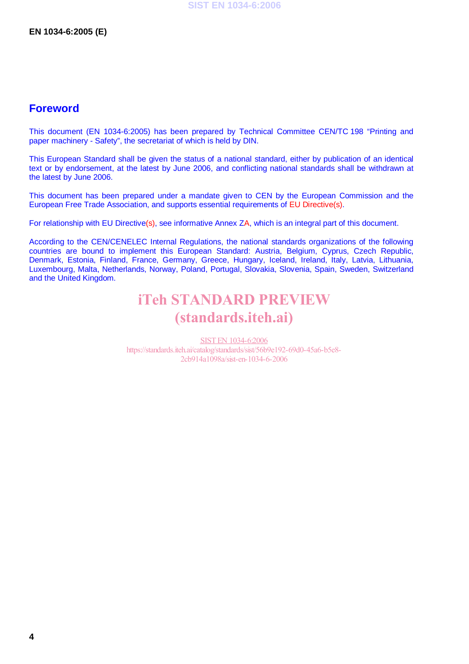### **Foreword**

This document (EN 1034-6:2005) has been prepared by Technical Committee CEN/TC 198 "Printing and paper machinery - Safety", the secretariat of which is held by DIN.

This European Standard shall be given the status of a national standard, either by publication of an identical text or by endorsement, at the latest by June 2006, and conflicting national standards shall be withdrawn at the latest by June 2006.

This document has been prepared under a mandate given to CEN by the European Commission and the European Free Trade Association, and supports essential requirements of EU Directive(s).

For relationship with EU Directive(s), see informative Annex ZA, which is an integral part of this document.

According to the CEN/CENELEC Internal Regulations, the national standards organizations of the following countries are bound to implement this European Standard: Austria, Belgium, Cyprus, Czech Republic, Denmark, Estonia, Finland, France, Germany, Greece, Hungary, Iceland, Ireland, Italy, Latvia, Lithuania, Luxembourg, Malta, Netherlands, Norway, Poland, Portugal, Slovakia, Slovenia, Spain, Sweden, Switzerland and the United Kingdom.

# iTeh STANDARD PREVIEW (standards.iteh.ai)

SIST EN 1034-6:2006 https://standards.iteh.ai/catalog/standards/sist/56b9e192-69d0-45a6-b5e8- 2cb914a1098a/sist-en-1034-6-2006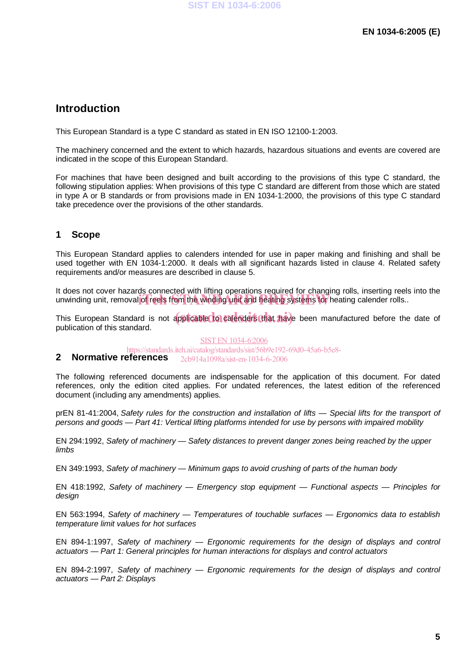## **Introduction**

This European Standard is a type C standard as stated in EN ISO 12100-1:2003.

The machinery concerned and the extent to which hazards, hazardous situations and events are covered are indicated in the scope of this European Standard.

For machines that have been designed and built according to the provisions of this type C standard, the following stipulation applies: When provisions of this type C standard are different from those which are stated in type A or B standards or from provisions made in EN 1034-1:2000, the provisions of this type C standard take precedence over the provisions of the other standards.

### **1 Scope**

This European Standard applies to calenders intended for use in paper making and finishing and shall be used together with EN 1034-1:2000. It deals with all significant hazards listed in clause 4. Related safety requirements and/or measures are described in clause 5.

It does not cover hazards connected with lifting operations required for changing rolls, inserting reels into the it does not cover hazards comiceted with many operations required for enarging rolls, inserting recist<br>unwinding unit, removal of reels from the winding unit and heating systems for heating calender rolls..

This European Standard is not applicable to calenders that have been manufactured before the date of publication of this standard.

#### SIST EN 1034-6:2006

**2 Normative references**  https://standards.iteh.ai/catalog/standards/sist/56b9e192-69d0-45a6-b5e8- 2cb914a1098a/sist-en-1034-6-2006

The following referenced documents are indispensable for the application of this document. For dated references, only the edition cited applies. For undated references, the latest edition of the referenced document (including any amendments) applies.

prEN 81-41:2004, Safety rules for the construction and installation of lifts — Special lifts for the transport of persons and goods — Part 41: Vertical lifting platforms intended for use by persons with impaired mobility

EN 294:1992, Safety of machinery — Safety distances to prevent danger zones being reached by the upper limbs

EN 349:1993, Safety of machinery — Minimum gaps to avoid crushing of parts of the human body

EN 418:1992, Safety of machinery — Emergency stop equipment — Functional aspects — Principles for design

EN 563:1994, Safety of machinery — Temperatures of touchable surfaces — Ergonomics data to establish temperature limit values for hot surfaces

EN 894-1:1997, Safety of machinery — Ergonomic requirements for the design of displays and control actuators — Part 1: General principles for human interactions for displays and control actuators

EN 894-2:1997, Safety of machinery — Ergonomic requirements for the design of displays and control actuators — Part 2: Displays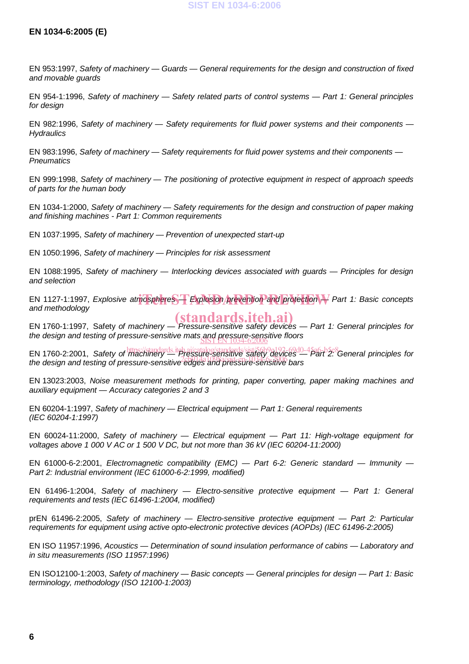#### **SIST EN 1034-6:2006**

#### **EN 1034-6:2005 (E)**

EN 953:1997, Safety of machinery — Guards — General requirements for the design and construction of fixed and movable guards

EN 954-1:1996, Safety of machinery — Safety related parts of control systems — Part 1: General principles for design

EN 982:1996, Safety of machinery - Safety requirements for fluid power systems and their components -**Hydraulics** 

EN 983:1996, Safety of machinery — Safety requirements for fluid power systems and their components — **Pneumatics** 

EN 999:1998, Safety of machinery — The positioning of protective equipment in respect of approach speeds of parts for the human body

EN 1034-1:2000, Safety of machinery — Safety requirements for the design and construction of paper making and finishing machines - Part 1: Common requirements

EN 1037:1995, Safety of machinery — Prevention of unexpected start-up

EN 1050:1996, Safety of machinery — Principles for risk assessment

EN 1088:1995, Safety of machinery — Interlocking devices associated with guards — Principles for design and selection

EN 1127-1:1997, Explosive atmospheres **T** Explosion prevention and protection  $\rightarrow$  Part 1: Basic concepts and methodology and methodology

EN 1760-1:1997, Safety of machinery — Pressure-sensitive safety devices — Part 1: General principles for the design and testing of pressure-sensitive mats and pressure-sensitive floors (standards.iteh.ai)

EN 1760-2:2001, Safety of *machinery* in Pressure-sensitive safety devices — Part 2: General principles for Err Free E.2001, Safety of machinery<br>the design and testing of pressure-sensitive edges and pressure-sensitive bars

EN 13023:2003, Noise measurement methods for printing, paper converting, paper making machines and auxiliary equipment — Accuracy categories 2 and 3

EN 60204-1:1997, Safety of machinery — Electrical equipment — Part 1: General requirements (IEC 60204-1:1997)

EN 60024-11:2000, Safety of machinery — Electrical equipment — Part 11: High-voltage equipment for voltages above 1 000 V AC or 1 500 V DC, but not more than 36 kV (IEC 60204-11:2000)

EN 61000-6-2:2001, Electromagnetic compatibility (EMC) — Part 6-2: Generic standard — Immunity — Part 2: Industrial environment (IEC 61000-6-2:1999, modified)

EN 61496-1:2004, Safety of machinery — Electro-sensitive protective equipment — Part 1: General requirements and tests (IEC 61496-1:2004, modified)

prEN 61496-2:2005, Safety of machinery — Electro-sensitive protective equipment — Part 2: Particular requirements for equipment using active opto-electronic protective devices (AOPDs) (IEC 61496-2:2005)

EN ISO 11957:1996, Acoustics — Determination of sound insulation performance of cabins — Laboratory and in situ measurements (ISO 11957:1996)

EN ISO12100-1:2003, Safety of machinery — Basic concepts — General principles for design — Part 1: Basic terminology, methodology (ISO 12100-1:2003)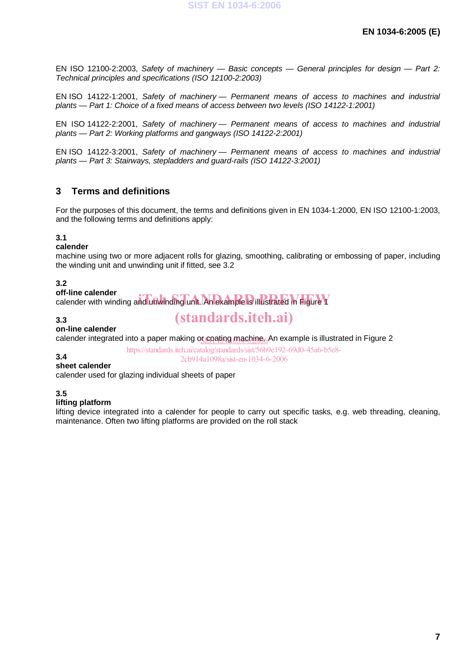EN ISO 12100-2:2003, Safety of machinery — Basic concepts — General principles for design — Part 2: Technical principles and specifications (ISO 12100-2:2003)

EN ISO 14122-1:2001, Safety of machinery — Permanent means of access to machines and industrial plants — Part 1: Choice of a fixed means of access between two levels (ISO 14122-1:2001)

EN ISO 14122-2:2001, Safety of machinery — Permanent means of access to machines and industrial plants — Part 2: Working platforms and gangways (ISO 14122-2:2001)

EN ISO 14122-3:2001, Safety of machinery — Permanent means of access to machines and industrial plants — Part 3: Stairways, stepladders and guard-rails (ISO 14122-3:2001)

### **3 Terms and definitions**

For the purposes of this document, the terms and definitions given in EN 1034-1:2000, EN ISO 12100-1:2003, and the following terms and definitions apply:

#### **3.1**

#### **calender**

machine using two or more adjacent rolls for glazing, smoothing, calibrating or embossing of paper, including the winding unit and unwinding unit if fitted, see 3.2

#### **3.2**

#### **off-line calender**

on-line calender<br>calender with winding and unwinding unit. An example is illustrated in Figure Y

#### **3.3**

# **on-line calender**

calender integrated into a paper making o<u>r coating machine<sub>ó</sub></u>An example is illustrated in Figure 2

https://standards.iteh.ai/catalog/standards/sist/56b9e192-69d0-45a6-b5e8- 2cb914a1098a/sist-en-1034-6-2006

(standards.iteh.ai)

#### **sheet calender**

calender used for glazing individual sheets of paper

**3.5** 

**3.4** 

#### **lifting platform**

lifting device integrated into a calender for people to carry out specific tasks, e.g. web threading, cleaning, maintenance. Often two lifting platforms are provided on the roll stack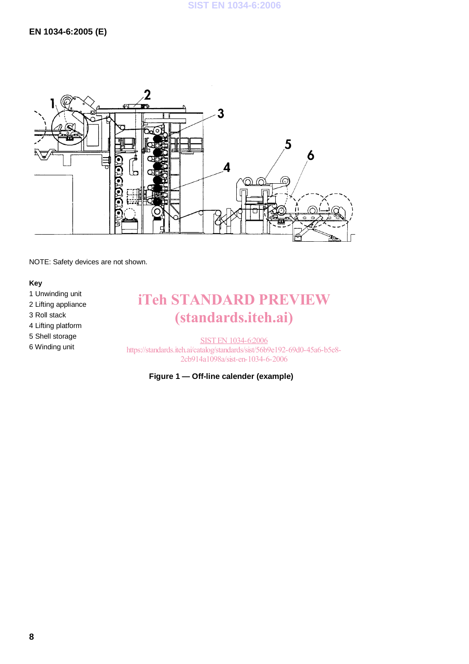

NOTE: Safety devices are not shown.

#### **Key**

1 Unwinding unit

- 2 Lifting appliance
- 3 Roll stack
- 4 Lifting platform
- 5 Shell storage
- 6 Winding unit

# iTeh STANDARD PREVIEW (standards.iteh.ai)

SIST EN 1034-6:2006 https://standards.iteh.ai/catalog/standards/sist/56b9e192-69d0-45a6-b5e8- 2cb914a1098a/sist-en-1034-6-2006

#### **Figure 1 — Off-line calender (example)**